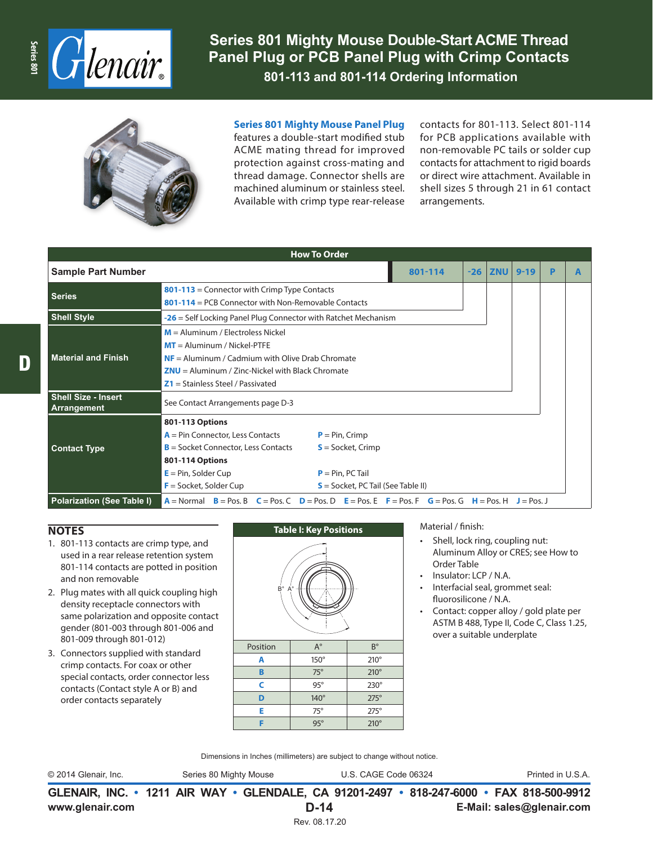

**Series 801 Mighty Mouse Double-Start ACME Thread Panel Plug or PCB Panel Plug with Crimp Contacts 801-113 and 801-114 Ordering Information**



**Series 801 Mighty Mouse Panel Plug**

features a double-start modified stub ACME mating thread for improved protection against cross-mating and thread damage. Connector shells are machined aluminum or stainless steel. Available with crimp type rear-release contacts for 801-113. Select 801-114 for PCB applications available with non-removable PC tails or solder cup contacts for attachment to rigid boards or direct wire attachment. Available in shell sizes 5 through 21 in 61 contact arrangements.

| <b>How To Order</b>                       |                                                                                                                                                                                                                                                                                  |       |            |          |   |  |  |  |  |
|-------------------------------------------|----------------------------------------------------------------------------------------------------------------------------------------------------------------------------------------------------------------------------------------------------------------------------------|-------|------------|----------|---|--|--|--|--|
| <b>Sample Part Number</b>                 | 801-114                                                                                                                                                                                                                                                                          | $-26$ | <b>ZNU</b> | $9 - 19$ | P |  |  |  |  |
| <b>Series</b>                             | 801-113 = Connector with Crimp Type Contacts<br>$801-114$ = PCB Connector with Non-Removable Contacts                                                                                                                                                                            |       |            |          |   |  |  |  |  |
| <b>Shell Style</b>                        | $-26$ = Self Locking Panel Plug Connector with Ratchet Mechanism                                                                                                                                                                                                                 |       |            |          |   |  |  |  |  |
| <b>Material and Finish</b>                | $M =$ Aluminum / Electroless Nickel<br>$MT =$ Aluminum / Nickel-PTFE<br>$NF =$ Aluminum / Cadmium with Olive Drab Chromate<br>$ZNU =$ Aluminum / Zinc-Nickel with Black Chromate<br>$Z1 =$ Stainless Steel / Passivated                                                          |       |            |          |   |  |  |  |  |
| <b>Shell Size - Insert</b><br>Arrangement | See Contact Arrangements page D-3                                                                                                                                                                                                                                                |       |            |          |   |  |  |  |  |
| <b>Contact Type</b>                       | 801-113 Options<br>$A = Pin Connector, Less Contacts$<br>$P = Pin, Crimp$<br>$B =$ Socket Connector, Less Contacts<br>$S =$ Socket, Crimp<br>801-114 Options<br>$E = Pin$ , Solder Cup<br>$P = Pin, PC Tail$<br>$F =$ Socket, Solder Cup<br>$S =$ Socket, PC Tail (See Table II) |       |            |          |   |  |  |  |  |
| <b>Polarization (See Table I)</b>         | $A = \text{Normal}$ $B = \text{Pos}$ , $B = \text{Pos}$ , $C = \text{Pos}$ , $D = \text{Pos}$ , $D = \text{Pos}$ , $E = \text{Pos}$ , $F = \text{Pos}$ , $G = \text{Pos}$ , $G = \text{Pos}$ , $H = \text{Pos}$ , $J = \text{Pos}$ , $J = \text{Pos}$ , $L = \text{Pos}$         |       |            |          |   |  |  |  |  |

## **NOTES**

- 1. 801-113 contacts are crimp type, and used in a rear release retention system 801-114 contacts are potted in position and non removable
- 2. Plug mates with all quick coupling high density receptacle connectors with same polarization and opposite contact gender (801-003 through 801-006 and 801-009 through 801-012)
- 3. Connectors supplied with standard crimp contacts. For coax or other special contacts, order connector less contacts (Contact style A or B) and order contacts separately



Material / finish:

- Shell, lock ring, coupling nut: Aluminum Alloy or CRES; see How to Order Table
- Insulator: LCP / N.A.
- Interfacial seal, grommet seal: fluorosilicone / N.A.
- Contact: copper alloy / gold plate per ASTM B 488, Type II, Code C, Class 1.25, over a suitable underplate

Dimensions in Inches (millimeters) are subject to change without notice.

**F** 95° 210°

© 2014 Glenair, Inc. Series 80 Mighty Mouse U.S. CAGE Code 06324 Printed in U.S.A.

**www.glenair.com E-Mail: sales@glenair.com GLENAIR, INC. • 1211 AIR WAY • GLENDALE, CA 91201-2497 • 818-247-6000 • FAX 818-500-9912 D-14**

Rev. 08.17.20